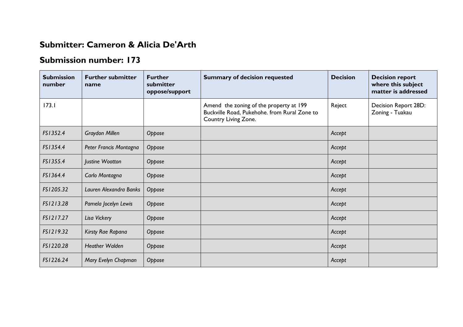## **Submitter: Cameron & Alicia De'Arth**

## **Submission number: 173**

| <b>Submission</b><br>number | <b>Further submitter</b><br>name | <b>Further</b><br>submitter<br>oppose/support | <b>Summary of decision requested</b>                                                                            | <b>Decision</b> | <b>Decision report</b><br>where this subject<br>matter is addressed |
|-----------------------------|----------------------------------|-----------------------------------------------|-----------------------------------------------------------------------------------------------------------------|-----------------|---------------------------------------------------------------------|
| 173.1                       |                                  |                                               | Amend the zoning of the property at 199<br>Buckville Road, Pukehohe. from Rural Zone to<br>Country Living Zone. | Reject          | Decision Report 28D:<br>Zoning - Tuakau                             |
| FS1352.4                    | <b>Graydon Millen</b>            | Oppose                                        |                                                                                                                 | Accept          |                                                                     |
| FS1354.4                    | Peter Francis Montagna           | Oppose                                        |                                                                                                                 | Accept          |                                                                     |
| FS1355.4                    | Justine Wootton                  | Oppose                                        |                                                                                                                 | Accept          |                                                                     |
| FS1364.4                    | Carlo Montagna                   | Oppose                                        |                                                                                                                 | Accept          |                                                                     |
| FS1205.32                   | Lauren Alexandra Banks           | Oppose                                        |                                                                                                                 | Accept          |                                                                     |
| FS1213.28                   | Pamela Jocelyn Lewis             | Oppose                                        |                                                                                                                 | Accept          |                                                                     |
| FS1217.27                   | Lisa Vickery                     | Oppose                                        |                                                                                                                 | Accept          |                                                                     |
| FS1219.32                   | Kirsty Rae Rapana                | Oppose                                        |                                                                                                                 | Accept          |                                                                     |
| FS1220.28                   | <b>Heather Walden</b>            | Oppose                                        |                                                                                                                 | Accept          |                                                                     |
| FS1226.24                   | Mary Evelyn Chapman              | Oppose                                        |                                                                                                                 | Accept          |                                                                     |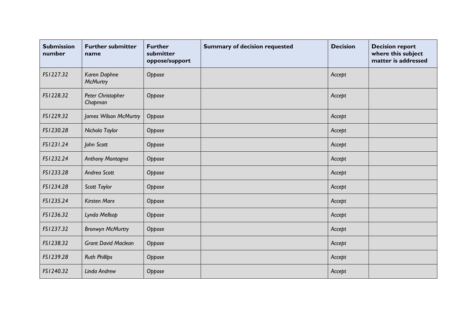| <b>Submission</b><br>number | <b>Further submitter</b><br>name | <b>Further</b><br>submitter<br>oppose/support | <b>Summary of decision requested</b> | <b>Decision</b> | <b>Decision report</b><br>where this subject<br>matter is addressed |
|-----------------------------|----------------------------------|-----------------------------------------------|--------------------------------------|-----------------|---------------------------------------------------------------------|
| FS1227.32                   | Karen Daphne<br><b>McMurtry</b>  | Oppose                                        |                                      | Accept          |                                                                     |
| FS1228.32                   | Peter Christopher<br>Chapman     | Oppose                                        |                                      | Accept          |                                                                     |
| FS1229.32                   | James Wilson McMurtry            | Oppose                                        |                                      | Accept          |                                                                     |
| FS1230.28                   | Nichola Taylor                   | Oppose                                        |                                      | Accept          |                                                                     |
| FS1231.24                   | John Scott                       | Oppose                                        |                                      | Accept          |                                                                     |
| FS1232.24                   | Anthony Montagna                 | Oppose                                        |                                      | Accept          |                                                                     |
| FS1233.28                   | Andrea Scott                     | Oppose                                        |                                      | Accept          |                                                                     |
| FS1234.28                   | Scott Taylor                     | Oppose                                        |                                      | Accept          |                                                                     |
| FS1235.24                   | <b>Kirsten Marx</b>              | Oppose                                        |                                      | Accept          |                                                                     |
| FS1236.32                   | Lynda Mellsop                    | Oppose                                        |                                      | Accept          |                                                                     |
| FS1237.32                   | <b>Bronwyn McMurtry</b>          | Oppose                                        |                                      | Accept          |                                                                     |
| FS1238.32                   | <b>Grant David Maclean</b>       | Oppose                                        |                                      | Accept          |                                                                     |
| FS1239.28                   | <b>Ruth Phillips</b>             | Oppose                                        |                                      | Accept          |                                                                     |
| FS1240.32                   | Linda Andrew                     | Oppose                                        |                                      | Accept          |                                                                     |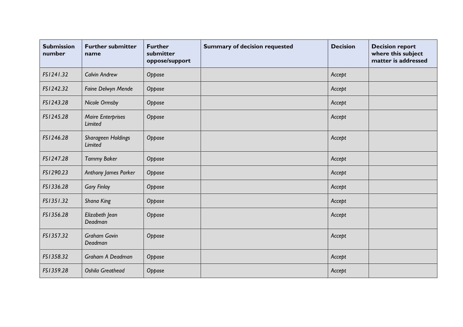| <b>Submission</b><br>number | <b>Further submitter</b><br>name    | <b>Further</b><br>submitter<br>oppose/support | <b>Summary of decision requested</b> | <b>Decision</b> | <b>Decision report</b><br>where this subject<br>matter is addressed |
|-----------------------------|-------------------------------------|-----------------------------------------------|--------------------------------------|-----------------|---------------------------------------------------------------------|
| FS1241.32                   | <b>Calvin Andrew</b>                | Oppose                                        |                                      | Accept          |                                                                     |
| FS1242.32                   | Faine Delwyn Mende                  | Oppose                                        |                                      | Accept          |                                                                     |
| FS1243.28                   | Nicole Ormsby                       | Oppose                                        |                                      | Accept          |                                                                     |
| FS1245.28                   | <b>Maire Enterprises</b><br>Limited | Oppose                                        |                                      | Accept          |                                                                     |
| FS1246.28                   | Sharageen Holdings<br>Limited       | Oppose                                        |                                      | Accept          |                                                                     |
| FS1247.28                   | <b>Tammy Baker</b>                  | Oppose                                        |                                      | Accept          |                                                                     |
| FS1290.23                   | Anthony James Parker                | Oppose                                        |                                      | Accept          |                                                                     |
| FS1336.28                   | <b>Gary Finlay</b>                  | Oppose                                        |                                      | Accept          |                                                                     |
| FS1351.32                   | Shana King                          | Oppose                                        |                                      | Accept          |                                                                     |
| FS1356.28                   | Elizabeth Jean<br>Deadman           | Oppose                                        |                                      | Accept          |                                                                     |
| FS1357.32                   | <b>Graham Gavin</b><br>Deadman      | Oppose                                        |                                      | Accept          |                                                                     |
| FS1358.32                   | Graham A Deadman                    | Oppose                                        |                                      | Accept          |                                                                     |
| FS1359.28                   | <b>Oshila Greathead</b>             | Oppose                                        |                                      | Accept          |                                                                     |